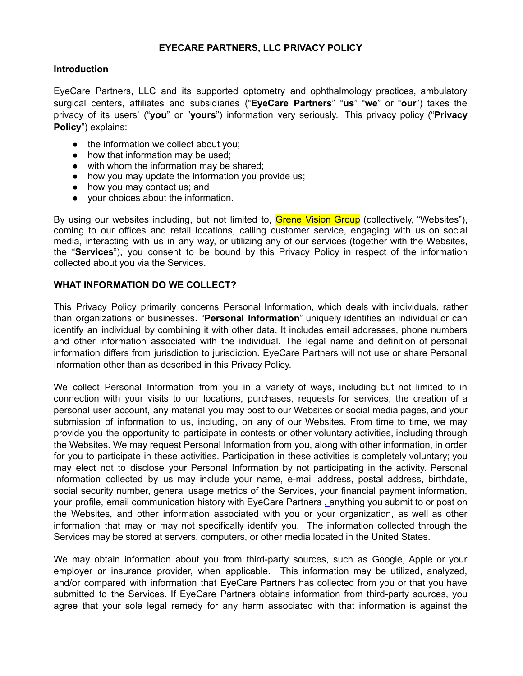### **EYECARE PARTNERS, LLC PRIVACY POLICY**

### **Introduction**

EyeCare Partners, LLC and its supported optometry and ophthalmology practices, ambulatory surgical centers, affiliates and subsidiaries ("**EyeCare Partners**" "**us**" "**we**" or "**our**") takes the privacy of its users' ("**you**" or "**yours**") information very seriously. This privacy policy ("**Privacy Policy**") explains:

- the information we collect about you;
- how that information may be used;
- with whom the information may be shared:
- how you may update the information you provide us;
- how you may contact us; and
- your choices about the information.

By using our websites including, but not limited to, Grene Vision Group (collectively, "Websites"), coming to our offices and retail locations, calling customer service, engaging with us on social media, interacting with us in any way, or utilizing any of our services (together with the Websites, the "**Services**"), you consent to be bound by this Privacy Policy in respect of the information collected about you via the Services.

### **WHAT INFORMATION DO WE COLLECT?**

This Privacy Policy primarily concerns Personal Information, which deals with individuals, rather than organizations or businesses. "**Personal Information**" uniquely identifies an individual or can identify an individual by combining it with other data. It includes email addresses, phone numbers and other information associated with the individual. The legal name and definition of personal information differs from jurisdiction to jurisdiction. EyeCare Partners will not use or share Personal Information other than as described in this Privacy Policy.

We collect Personal Information from you in a variety of ways, including but not limited to in connection with your visits to our locations, purchases, requests for services, the creation of a personal user account, any material you may post to our Websites or social media pages, and your submission of information to us, including, on any of our Websites. From time to time, we may provide you the opportunity to participate in contests or other voluntary activities, including through the Websites. We may request Personal Information from you, along with other information, in order for you to participate in these activities. Participation in these activities is completely voluntary; you may elect not to disclose your Personal Information by not participating in the activity. Personal Information collected by us may include your name, e-mail address, postal address, birthdate, social security number, general usage metrics of the Services, your financial payment information, your profile, email communication history with EyeCare Partners-\_anything you submit to or post on the Websites, and other information associated with you or your organization, as well as other information that may or may not specifically identify you. The information collected through the Services may be stored at servers, computers, or other media located in the United States.

We may obtain information about you from third-party sources, such as Google, Apple or your employer or insurance provider, when applicable. This information may be utilized, analyzed, and/or compared with information that EyeCare Partners has collected from you or that you have submitted to the Services. If EyeCare Partners obtains information from third-party sources, you agree that your sole legal remedy for any harm associated with that information is against the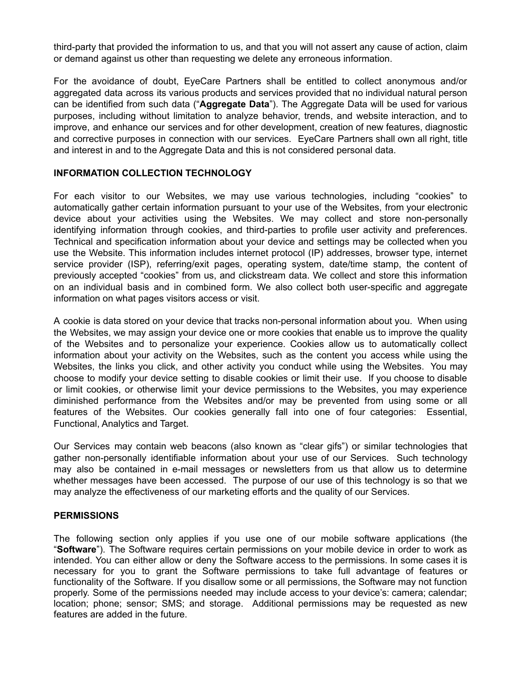third-party that provided the information to us, and that you will not assert any cause of action, claim or demand against us other than requesting we delete any erroneous information.

For the avoidance of doubt, EyeCare Partners shall be entitled to collect anonymous and/or aggregated data across its various products and services provided that no individual natural person can be identified from such data ("**Aggregate Data**"). The Aggregate Data will be used for various purposes, including without limitation to analyze behavior, trends, and website interaction, and to improve, and enhance our services and for other development, creation of new features, diagnostic and corrective purposes in connection with our services. EyeCare Partners shall own all right, title and interest in and to the Aggregate Data and this is not considered personal data.

# **INFORMATION COLLECTION TECHNOLOGY**

For each visitor to our Websites, we may use various technologies, including "cookies" to automatically gather certain information pursuant to your use of the Websites, from your electronic device about your activities using the Websites. We may collect and store non-personally identifying information through cookies, and third-parties to profile user activity and preferences. Technical and specification information about your device and settings may be collected when you use the Website. This information includes internet protocol (IP) addresses, browser type, internet service provider (ISP), referring/exit pages, operating system, date/time stamp, the content of previously accepted "cookies" from us, and clickstream data. We collect and store this information on an individual basis and in combined form. We also collect both user-specific and aggregate information on what pages visitors access or visit.

A cookie is data stored on your device that tracks non-personal information about you. When using the Websites, we may assign your device one or more cookies that enable us to improve the quality of the Websites and to personalize your experience. Cookies allow us to automatically collect information about your activity on the Websites, such as the content you access while using the Websites, the links you click, and other activity you conduct while using the Websites. You may choose to modify your device setting to disable cookies or limit their use. If you choose to disable or limit cookies, or otherwise limit your device permissions to the Websites, you may experience diminished performance from the Websites and/or may be prevented from using some or all features of the Websites. Our cookies generally fall into one of four categories: Essential, Functional, Analytics and Target.

Our Services may contain web beacons (also known as "clear gifs") or similar technologies that gather non-personally identifiable information about your use of our Services. Such technology may also be contained in e-mail messages or newsletters from us that allow us to determine whether messages have been accessed. The purpose of our use of this technology is so that we may analyze the effectiveness of our marketing efforts and the quality of our Services.

# **PERMISSIONS**

The following section only applies if you use one of our mobile software applications (the "**Software**"). The Software requires certain permissions on your mobile device in order to work as intended. You can either allow or deny the Software access to the permissions. In some cases it is necessary for you to grant the Software permissions to take full advantage of features or functionality of the Software. If you disallow some or all permissions, the Software may not function properly. Some of the permissions needed may include access to your device's: camera; calendar; location; phone; sensor; SMS; and storage. Additional permissions may be requested as new features are added in the future.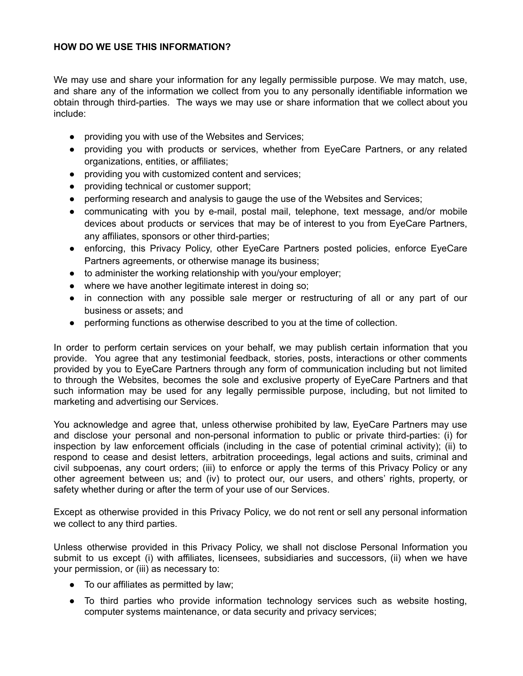# **HOW DO WE USE THIS INFORMATION?**

We may use and share your information for any legally permissible purpose. We may match, use, and share any of the information we collect from you to any personally identifiable information we obtain through third-parties. The ways we may use or share information that we collect about you include:

- providing you with use of the Websites and Services;
- providing you with products or services, whether from EyeCare Partners, or any related organizations, entities, or affiliates;
- providing you with customized content and services;
- providing technical or customer support;
- performing research and analysis to gauge the use of the Websites and Services;
- communicating with you by e-mail, postal mail, telephone, text message, and/or mobile devices about products or services that may be of interest to you from EyeCare Partners, any affiliates, sponsors or other third-parties;
- enforcing, this Privacy Policy, other EyeCare Partners posted policies, enforce EyeCare Partners agreements, or otherwise manage its business;
- to administer the working relationship with you/your employer;
- where we have another legitimate interest in doing so;
- in connection with any possible sale merger or restructuring of all or any part of our business or assets; and
- performing functions as otherwise described to you at the time of collection.

In order to perform certain services on your behalf, we may publish certain information that you provide. You agree that any testimonial feedback, stories, posts, interactions or other comments provided by you to EyeCare Partners through any form of communication including but not limited to through the Websites, becomes the sole and exclusive property of EyeCare Partners and that such information may be used for any legally permissible purpose, including, but not limited to marketing and advertising our Services.

You acknowledge and agree that, unless otherwise prohibited by law, EyeCare Partners may use and disclose your personal and non-personal information to public or private third-parties: (i) for inspection by law enforcement officials (including in the case of potential criminal activity); (ii) to respond to cease and desist letters, arbitration proceedings, legal actions and suits, criminal and civil subpoenas, any court orders; (iii) to enforce or apply the terms of this Privacy Policy or any other agreement between us; and (iv) to protect our, our users, and others' rights, property, or safety whether during or after the term of your use of our Services.

Except as otherwise provided in this Privacy Policy, we do not rent or sell any personal information we collect to any third parties.

Unless otherwise provided in this Privacy Policy, we shall not disclose Personal Information you submit to us except (i) with affiliates, licensees, subsidiaries and successors, (ii) when we have your permission, or (iii) as necessary to:

- To our affiliates as permitted by law;
- To third parties who provide information technology services such as website hosting, computer systems maintenance, or data security and privacy services;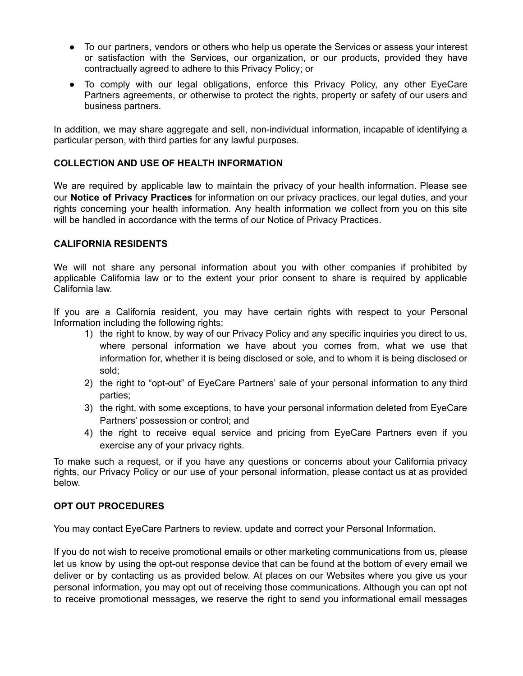- To our partners, vendors or others who help us operate the Services or assess your interest or satisfaction with the Services, our organization, or our products, provided they have contractually agreed to adhere to this Privacy Policy; or
- To comply with our legal obligations, enforce this Privacy Policy, any other EyeCare Partners agreements, or otherwise to protect the rights, property or safety of our users and business partners.

In addition, we may share aggregate and sell, non-individual information, incapable of identifying a particular person, with third parties for any lawful purposes.

# **COLLECTION AND USE OF HEALTH INFORMATION**

We are required by applicable law to maintain the privacy of your health information. Please see our **Notice of Privacy Practices** for information on our privacy practices, our legal duties, and your rights concerning your health information. Any health information we collect from you on this site will be handled in accordance with the terms of our Notice of Privacy Practices.

### **CALIFORNIA RESIDENTS**

We will not share any personal information about you with other companies if prohibited by applicable California law or to the extent your prior consent to share is required by applicable California law.

If you are a California resident, you may have certain rights with respect to your Personal Information including the following rights:

- 1) the right to know, by way of our Privacy Policy and any specific inquiries you direct to us, where personal information we have about you comes from, what we use that information for, whether it is being disclosed or sole, and to whom it is being disclosed or sold;
- 2) the right to "opt-out" of EyeCare Partners' sale of your personal information to any third parties;
- 3) the right, with some exceptions, to have your personal information deleted from EyeCare Partners' possession or control; and
- 4) the right to receive equal service and pricing from EyeCare Partners even if you exercise any of your privacy rights.

To make such a request, or if you have any questions or concerns about your California privacy rights, our Privacy Policy or our use of your personal information, please contact us at as provided below.

### **OPT OUT PROCEDURES**

You may contact EyeCare Partners to review, update and correct your Personal Information.

If you do not wish to receive promotional emails or other marketing communications from us, please let us know by using the opt-out response device that can be found at the bottom of every email we deliver or by contacting us as provided below. At places on our Websites where you give us your personal information, you may opt out of receiving those communications. Although you can opt not to receive promotional messages, we reserve the right to send you informational email messages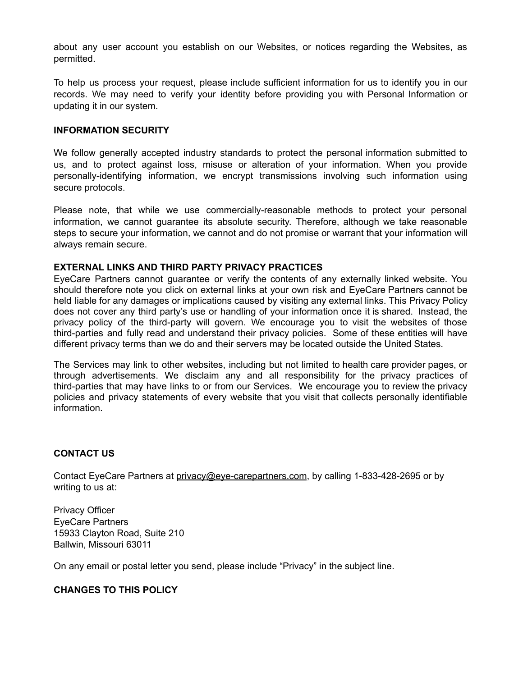about any user account you establish on our Websites, or notices regarding the Websites, as permitted.

To help us process your request, please include sufficient information for us to identify you in our records. We may need to verify your identity before providing you with Personal Information or updating it in our system.

#### **INFORMATION SECURITY**

We follow generally accepted industry standards to protect the personal information submitted to us, and to protect against loss, misuse or alteration of your information. When you provide personally-identifying information, we encrypt transmissions involving such information using secure protocols.

Please note, that while we use commercially-reasonable methods to protect your personal information, we cannot guarantee its absolute security. Therefore, although we take reasonable steps to secure your information, we cannot and do not promise or warrant that your information will always remain secure.

#### **EXTERNAL LINKS AND THIRD PARTY PRIVACY PRACTICES**

EyeCare Partners cannot guarantee or verify the contents of any externally linked website. You should therefore note you click on external links at your own risk and EyeCare Partners cannot be held liable for any damages or implications caused by visiting any external links. This Privacy Policy does not cover any third party's use or handling of your information once it is shared. Instead, the privacy policy of the third-party will govern. We encourage you to visit the websites of those third-parties and fully read and understand their privacy policies. Some of these entities will have different privacy terms than we do and their servers may be located outside the United States.

The Services may link to other websites, including but not limited to health care provider pages, or through advertisements. We disclaim any and all responsibility for the privacy practices of third-parties that may have links to or from our Services. We encourage you to review the privacy policies and privacy statements of every website that you visit that collects personally identifiable information.

### **CONTACT US**

Contact EyeCare Partners at privacy@eye-carepartners.com, by calling 1-833-428-2695 or by writing to us at:

Privacy Officer EyeCare Partners 15933 Clayton Road, Suite 210 Ballwin, Missouri 63011

On any email or postal letter you send, please include "Privacy" in the subject line.

### **CHANGES TO THIS POLICY**